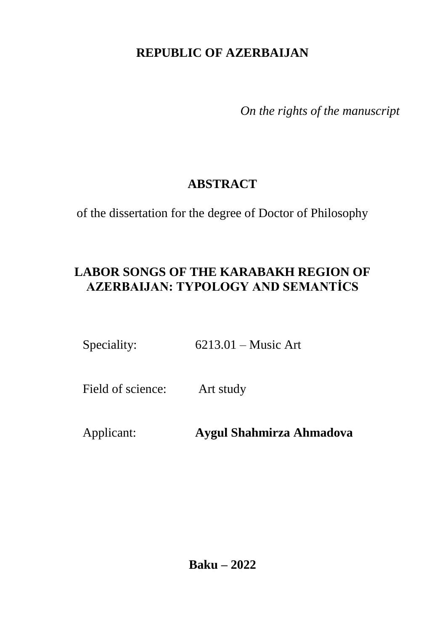# **REPUBLIC OF AZERBAIJAN**

*On the rights of the manuscript*

# **ABSTRACT**

of the dissertation for the degree of Doctor of Philosophy

# **LABOR SONGS OF THE KARABAKH REGION OF AZERBAIJAN: TYPOLOGY AND SEMANTİCS**

Speciality: 6213.01 – Music Art

Field of science: Art study

Applicant: **Aygul Shahmirza Ahmadova**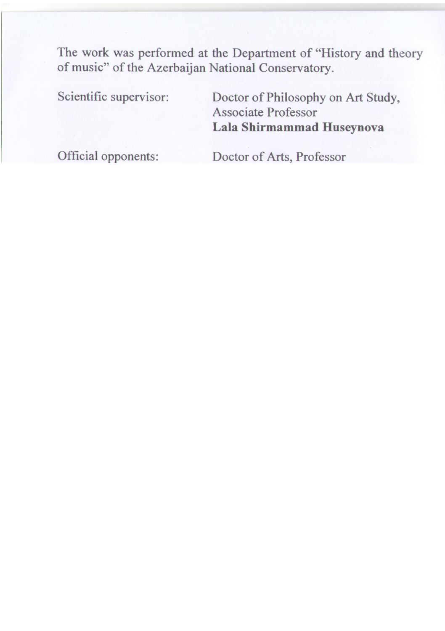The work was performed at the Department of "History and theory of music" of the Azerbaijan National Conservatory.

| Scientific supervisor: | Doctor of Philosophy on Art Study,<br>Associate Professor<br>Lala Shirmammad Huseynova         |
|------------------------|------------------------------------------------------------------------------------------------|
| Official opponents:    | Doctor of Arts, Professor<br>Sevda Firudin Gurbanaliyeva                                       |
|                        | Doctor of Philosophy on Art Study,<br><b>Associate Professor</b><br>Elmira Panah Panahova      |
|                        | Doctor of Philosophy on Art Study,<br><b>Associate Professor</b><br>Khatira Nariman Hasanzadeh |

Dissertation Council FD 2.36 of Supreme Attestation Commission under the President of the Republic of Azerbaijan operating at the Baku Music Academy named after U.Hajibeyli

Chairman of the Dissertation council: People's Artist, Professor **\_\_\_\_\_\_\_\_\_\_\_\_\_\_ Farhad Shamsi Badalbeyli** Scientific secretary of the Dissertation council: Doctor of philosophy on Art Study, Associate professor **\_\_\_\_\_\_\_\_\_\_\_\_\_\_ Leyla Ramiz Zohrabova** Chairman of the scientific seminar: Doctor of Arts, Professor **\_\_\_\_\_\_\_\_\_\_\_\_\_\_ Imruz Mammad Sadikh Afandiyeva**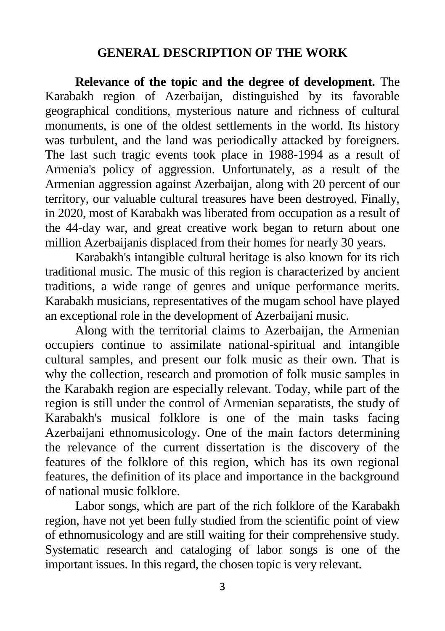#### **GENERAL DESCRIPTION OF THE WORK**

**Relevance of the topic and the degree of development.** The Karabakh region of Azerbaijan, distinguished by its favorable geographical conditions, mysterious nature and richness of cultural monuments, is one of the oldest settlements in the world. Its history was turbulent, and the land was periodically attacked by foreigners. The last such tragic events took place in 1988-1994 as a result of Armenia's policy of aggression. Unfortunately, as a result of the Armenian aggression against Azerbaijan, along with 20 percent of our territory, our valuable cultural treasures have been destroyed. Finally, in 2020, most of Karabakh was liberated from occupation as a result of the 44-day war, and great creative work began to return about one million Azerbaijanis displaced from their homes for nearly 30 years.

Karabakh's intangible cultural heritage is also known for its rich traditional music. The music of this region is characterized by ancient traditions, a wide range of genres and unique performance merits. Karabakh musicians, representatives of the mugam school have played an exceptional role in the development of Azerbaijani music.

Along with the territorial claims to Azerbaijan, the Armenian occupiers continue to assimilate national-spiritual and intangible cultural samples, and present our folk music as their own. That is why the collection, research and promotion of folk music samples in the Karabakh region are especially relevant. Today, while part of the region is still under the control of Armenian separatists, the study of Karabakh's musical folklore is one of the main tasks facing Azerbaijani ethnomusicology. One of the main factors determining the relevance of the current dissertation is the discovery of the features of the folklore of this region, which has its own regional features, the definition of its place and importance in the background of national music folklore.

Labor songs, which are part of the rich folklore of the Karabakh region, have not yet been fully studied from the scientific point of view of ethnomusicology and are still waiting for their comprehensive study. Systematic research and cataloging of labor songs is one of the important issues. In this regard, the chosen topic is very relevant.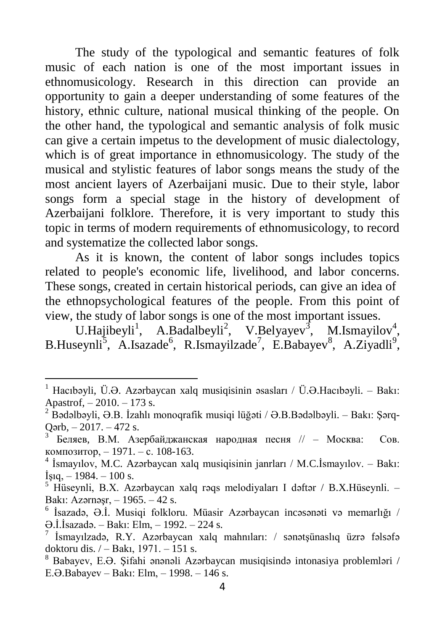The study of the typological and semantic features of folk music of each nation is one of the most important issues in ethnomusicology. Research in this direction can provide an opportunity to gain a deeper understanding of some features of the history, ethnic culture, national musical thinking of the people. On the other hand, the typological and semantic analysis of folk music can give a certain impetus to the development of music dialectology, which is of great importance in ethnomusicology. The study of the musical and stylistic features of labor songs means the study of the most ancient layers of Azerbaijani music. Due to their style, labor songs form a special stage in the history of development of Azerbaijani folklore. Therefore, it is very important to study this topic in terms of modern requirements of ethnomusicology, to record and systematize the collected labor songs.

As it is known, the content of labor songs includes topics related to people's economic life, livelihood, and labor concerns. These songs, created in certain historical periods, can give an idea of the ethnopsychological features of the people. From this point of view, the study of labor songs is one of the most important issues.

U.Hajibeyli<sup>1</sup>, A.Badalbeyli<sup>2</sup>, V.Belyayev<sup>3</sup>, M.Ismayilov<sup>4</sup>, B.Huseynli<sup>5</sup>, A.Isazade<sup>6</sup>, R.Ismayilzade<sup>7</sup>, E.Babayev<sup>8</sup>, A.Ziyadli<sup>9</sup>,

<sup>&</sup>lt;sup>1</sup> Hacıbəyli, Ü.Ə. Azərbaycan xalq musiqisinin əsasları / Ü.Ə.Hacıbəyli. – Bakı: Apastrof, – 2010. – 173 s.

<sup>&</sup>lt;sup>2</sup> Bədəlbəyli, Ə.B. İzahlı monoqrafik musiqi lüğəti / Ə.B.Bədəlbəyli. – Bakı: Şərq-Qərb, – 2017. – 472 s.

<sup>3</sup> Беляев, В.М. Азербайджанская народная песня // – Москва: Сов. композитор, – 1971. – с. 108-163.

<sup>4</sup> İsmayılov, M.C. Azərbaycan xalq musiqisinin janrları / M.C.İsmayılov. – Bakı:  $\text{Isiq}_{2} - 1984 - 100 \text{ s}.$ 

 $5$  Hüseynli, B.X. Azərbaycan xalq rəqs melodiyaları I dəftər / B.X.Hüseynli. – Bakı: Azərnəşr, – 1965. – 42 s.

<sup>6</sup> İsazadə, Ə.İ. Musiqi folkloru. Müasir Azərbaycan incəsənəti və memarlığı / Ə.İ.İsazadə. – Bakı: Elm, – 1992. – 224 s.

<sup>7</sup> İsmayılzadə, R.Y. Azərbaycan xalq mahnıları: / sənətşünaslıq üzrə fəlsəfə doktoru dis. / – Bakı, 1971. – 151 s.

<sup>8</sup> Babayev, E.Ə. Şifahi ənənəli Azərbaycan musiqisində intonasiya problemləri / E.Ə.Babayev – Bakı: Elm, – 1998. – 146 s.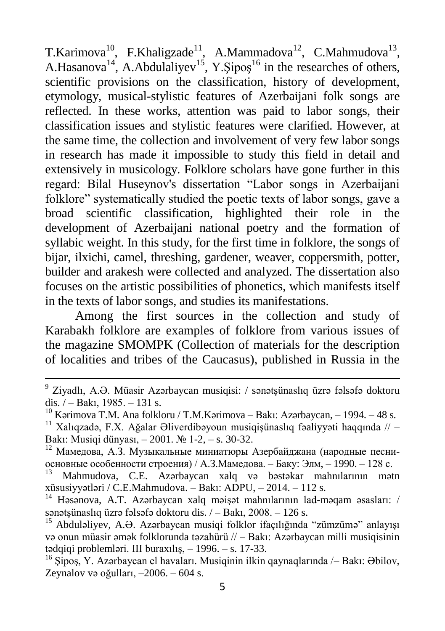T.Karimova<sup>10</sup>, F.Khaligzade<sup>11</sup>, A.Mammadova<sup>12</sup>, C.Mahmudova<sup>13</sup>, A.Hasanova<sup>14</sup>, A.Abdulaliyev<sup>15</sup>, Y.Şipoş<sup>16</sup> in the researches of others, scientific provisions on the classification, history of development, etymology, musical-stylistic features of Azerbaijani folk songs are reflected. In these works, attention was paid to labor songs, their classification issues and stylistic features were clarified. However, at the same time, the collection and involvement of very few labor songs in research has made it impossible to study this field in detail and extensively in musicology. Folklore scholars have gone further in this regard: Bilal Huseynov's dissertation "Labor songs in Azerbaijani folklore" systematically studied the poetic texts of labor songs, gave a broad scientific classification, highlighted their role in the development of Azerbaijani national poetry and the formation of syllabic weight. In this study, for the first time in folklore, the songs of bijar, ilxichi, camel, threshing, gardener, weaver, coppersmith, potter, builder and arakesh were collected and analyzed. The dissertation also focuses on the artistic possibilities of phonetics, which manifests itself in the texts of labor songs, and studies its manifestations.

Among the first sources in the collection and study of Karabakh folklore are examples of folklore from various issues of the magazine SMOMPK (Collection of materials for the description of localities and tribes of the Caucasus), published in Russia in the

1

<sup>9</sup> Ziyadlı, A.Ə. Müasir Azərbaycan musiqisi: / sənətşünaslıq üzrə fəlsəfə doktoru dis. / – Bakı, 1985. – 131 s.

<sup>&</sup>lt;sup>10</sup> Kərimova T.M. Ana folkloru / T.M.Kərimova – Bakı: Azərbaycan, – 1994. – 48 s.

 $Xalıqzadə, F.X.$  Ağalar Əliverdibəyoun musiqişünaslıq fəaliyyəti haqqında  $//$  – Bakı: Musiqi dünyası, – 2001. № 1-2, – s. 30-32.

<sup>12</sup> Мамедова, А.З. Музыкальные миниатюры Азербайджана (народные песниосновные особенности строения) / А.З.Мамедова. – Баку: Элм, – 1990. – 128 с.

<sup>13</sup> Mahmudova, C.E. Azərbaycan xalq və bəstəkar mahnılarının mətn xüsusiyyətləri / C.E.Mahmudova. – Bakı: ADPU, – 2014. – 112 s.

<sup>14</sup> Həsənova, A.T. Azərbaycan xalq məişət mahnılarının lad-məqam əsasları: / sənətşünaslıq üzrə fəlsəfə doktoru dis. / – Bakı, 2008. – 126 s.

<sup>15</sup> Abduləliyev, A.Ə. Azərbaycan musiqi folklor ifaçılığında "zümzümə" anlayışı və onun müasir əmək folklorunda təzahürü // – Bakı: Azərbaycan milli musiqisinin tədqiqi problemləri. III buraxılış, – 1996. – s. 17-33.

 $^{16}$  Sipos, Y. Azərbaycan el havaları. Musiqinin ilkin qaynaqlarında  $/-$  Bakı: Əbilov, Zeynalov və oğulları, –2006. – 604 s.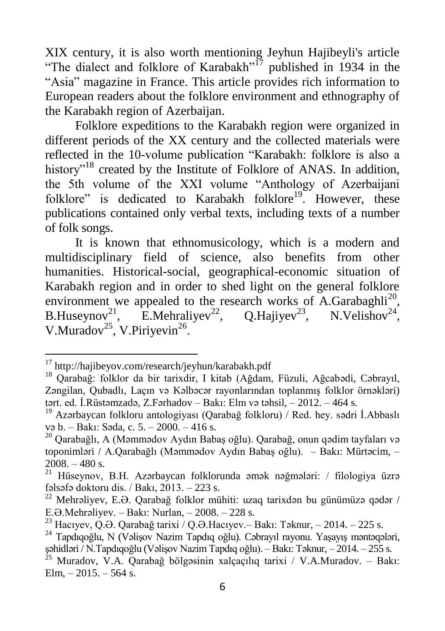XIX century, it is also worth mentioning Jeyhun Hajibeyli's article "The dialect and folklore of Karabakh"<sup>17</sup> published in 1934 in the "Asia" magazine in France. This article provides rich information to European readers about the folklore environment and ethnography of the Karabakh region of Azerbaijan.

Folklore expeditions to the Karabakh region were organized in different periods of the XX century and the collected materials were reflected in the 10-volume publication "Karabakh: folklore is also a history<sup>"18</sup> created by the Institute of Folklore of ANAS. In addition, the 5th volume of the XXI volume "Anthology of Azerbaijani folklore" is dedicated to Karabakh folklore $19$ . However, these publications contained only verbal texts, including texts of a number of folk songs.

It is known that ethnomusicology, which is a modern and multidisciplinary field of science, also benefits from other humanities. Historical-social, geographical-economic situation of Karabakh region and in order to shed light on the general folklore environment we appealed to the research works of A.Garabaghli<sup>20</sup>, B.Huseynov<sup>21</sup>, E.Mehraliyev<sup>22</sup>, Q.Hajiyev<sup>23</sup>, N.Velishov<sup>24</sup>, V.Muradov<sup>25</sup>, V.Piriyevin<sup>26</sup>.

<sup>17</sup> http://hajibeyov.com/research/jeyhun/karabakh.pdf

<sup>18</sup> Qarabağ: folklor da bir tarixdir, I kitab (Ağdam, Füzuli, Ağcabədi, Cəbrayıl, Zəngilan, Qubadlı, Laçın və Kəlbəcər rayonlarından toplanmış folklor örnəkləri) tərt. ed. İ.Rüstəmzadə, Z.Fərhadov – Bakı: Elm və təhsil, – 2012. – 464 s.

<sup>19</sup> Azərbaycan folkloru antologiyası (Qarabağ folkloru) / Red. hey. sədri İ.Abbaslı və b. – Bakı: Səda, c. 5. – 2000. – 416 s.

<sup>20</sup> Qarabağlı, A (Məmmədov Aydın Babaş oğlu). Qarabağ, onun qədim tayfaları və toponimləri / A.Qarabağlı (Məmmədov Aydın Babaş oğlu). – Bakı: Mürtəcim, –  $2008. - 480$  s.<br><sup>21</sup> Hijseynov

Hüseynov, B.H. Azərbaycan folklorunda əmək nəğmələri: / filologiya üzrə fəlsəfə doktoru dis. / Bakı, 2013. – 223 s.

<sup>22</sup> Mehrəliyev, E.Ə. Qarabağ folklor mühiti: uzaq tarixdən bu günümüzə qədər / E.Ə.Mehrəliyev. – Bakı: Nurlan, – 2008. – 228 s.

 $^{23}$  Hacıvev, O.Ə. Qarabağ tarixi / Q.Ə. Hacıyev. – Bakı: Təknur, – 2014. – 225 s.

<sup>24</sup> Tapdıqoğlu, N (Vəlişov Nazim Tapdıq oğlu). Cəbrayıl rayonu. Yaşayış məntəqələri, şəhidləri / N.Tapdıqoğlu (Vəlişov Nazim Tapdıq oğlu). – Bakı: Təknur, – 2014. – 255 s.

 $^{25}$  Muradov, V.A. Oarabağ bölgəsinin xalçaçılıq tarixi / V.A.Muradov. – Bakı: Elm,  $-2015. - 564$  s.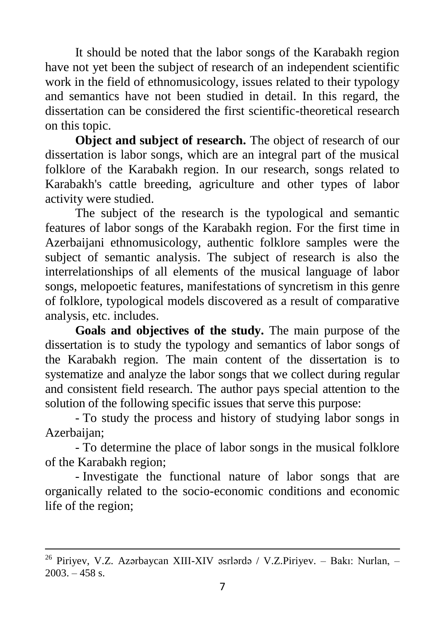It should be noted that the labor songs of the Karabakh region have not yet been the subject of research of an independent scientific work in the field of ethnomusicology, issues related to their typology and semantics have not been studied in detail. In this regard, the dissertation can be considered the first scientific-theoretical research on this topic.

**Object and subject of research.** The object of research of our dissertation is labor songs, which are an integral part of the musical folklore of the Karabakh region. In our research, songs related to Karabakh's cattle breeding, agriculture and other types of labor activity were studied.

The subject of the research is the typological and semantic features of labor songs of the Karabakh region. For the first time in Azerbaijani ethnomusicology, authentic folklore samples were the subject of semantic analysis. The subject of research is also the interrelationships of all elements of the musical language of labor songs, melopoetic features, manifestations of syncretism in this genre of folklore, typological models discovered as a result of comparative analysis, etc. includes.

**Goals and objectives of the study.** The main purpose of the dissertation is to study the typology and semantics of labor songs of the Karabakh region. The main content of the dissertation is to systematize and analyze the labor songs that we collect during regular and consistent field research. The author pays special attention to the solution of the following specific issues that serve this purpose:

- To study the process and history of studying labor songs in Azerbaijan;

- To determine the place of labor songs in the musical folklore of the Karabakh region;

- Investigate the functional nature of labor songs that are organically related to the socio-economic conditions and economic life of the region;

 $\overline{a}$ 

<sup>&</sup>lt;sup>26</sup> Piriyev, V.Z. Azərbaycan XIII-XIV əsrlərdə / V.Z.Piriyev. – Bakı: Nurlan, –  $2003. - 458$  s.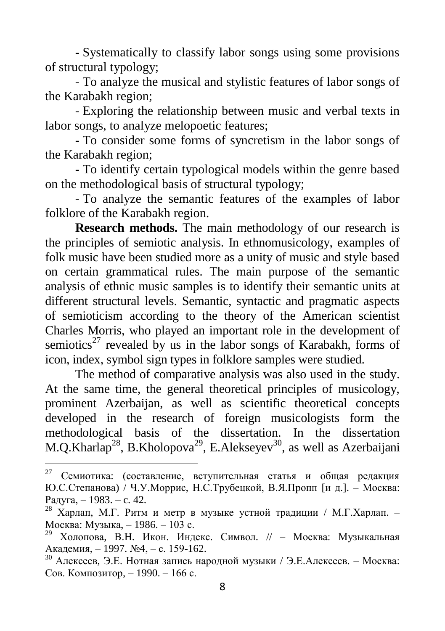- Systematically to classify labor songs using some provisions of structural typology;

- To analyze the musical and stylistic features of labor songs of the Karabakh region;

- Exploring the relationship between music and verbal texts in labor songs, to analyze melopoetic features;

- To consider some forms of syncretism in the labor songs of the Karabakh region;

- To identify certain typological models within the genre based on the methodological basis of structural typology;

- To analyze the semantic features of the examples of labor folklore of the Karabakh region.

**Research methods.** The main methodology of our research is the principles of semiotic analysis. In ethnomusicology, examples of folk music have been studied more as a unity of music and style based on certain grammatical rules. The main purpose of the semantic analysis of ethnic music samples is to identify their semantic units at different structural levels. Semantic, syntactic and pragmatic aspects of semioticism according to the theory of the American scientist Charles Morris, who played an important role in the development of semiotics<sup>27</sup> revealed by us in the labor songs of Karabakh, forms of icon, index, symbol sign types in folklore samples were studied.

The method of comparative analysis was also used in the study. At the same time, the general theoretical principles of musicology, prominent Azerbaijan, as well as scientific theoretical concepts developed in the research of foreign musicologists form the methodological basis of the dissertation. In the dissertation  $M.Q.Kharlap<sup>28</sup>, B.Kholopova<sup>29</sup>, E.Alekseyev<sup>30</sup>, as well as Azerbaijani$ 

 $27$  Семиотика: (составление, вступительная статья и общая редакция Ю.С.Степанова) / Ч.У.Моррис, Н.С.Трубецкой, В.Я.Пропп [и д.]. – Москва: Радуга, – 1983. – c. 42.

<sup>&</sup>lt;sup>28</sup> Харлап, М.Г. Ритм и метр в музыке устной традиции / М.Г.Харлап. -Москва: Музыка, – 1986. – 103 с.

<sup>29</sup> Холопова, В.H. Икон. Индекс. Символ. // – Москва: Музыкальная Академия, – 1997. №4, – с. 159-162.

<sup>30</sup> Алексеев, Э.Е. Нотная запись народной музыки / Э.Е.Алексеев. – Москва: Сов. Композитор, – 1990. – 166 с.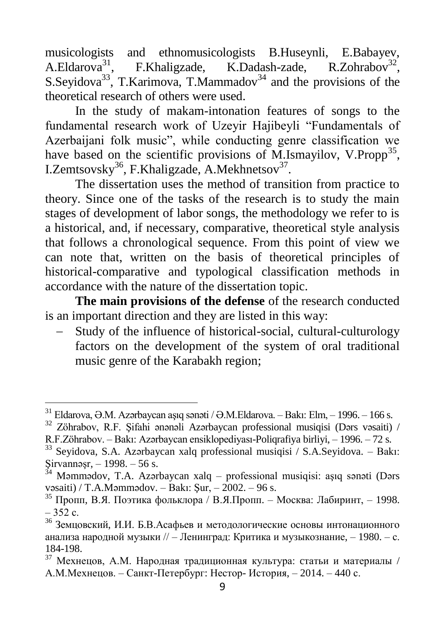musicologists and ethnomusicologists B.Huseynli, E.Babayev, A.Eldarova<sup>31</sup>, F.Khaligzade, K.Dadash-zade, R.Zohrabov<sup>32</sup>, S.Seyidova<sup>33</sup>, T.Karimova, T.Mammadov<sup>34</sup> and the provisions of the theoretical research of others were used.

In the study of makam-intonation features of songs to the fundamental research work of Uzeyir Hajibeyli "Fundamentals of Azerbaijani folk music", while conducting genre classification we have based on the scientific provisions of M.Ismayilov, V.Propp<sup>35</sup>, I.Zemtsovsky<sup>36</sup>, F.Khaligzade, A.Mekhnetsov<sup>37</sup>.

The dissertation uses the method of transition from practice to theory. Since one of the tasks of the research is to study the main stages of development of labor songs, the methodology we refer to is a historical, and, if necessary, comparative, theoretical style analysis that follows a chronological sequence. From this point of view we can note that, written on the basis of theoretical principles of historical-comparative and typological classification methods in accordance with the nature of the dissertation topic.

**The main provisions of the defense** of the research conducted is an important direction and they are listed in this way:

 Study of the influence of historical-social, cultural-culturology factors on the development of the system of oral traditional music genre of the Karabakh region;

 $\ddot{\phantom{a}}$ 

 $^{31}$  Eldarova, Ə.M. Azərbaycan aşıq sənəti / Ə.M.Eldarova. – Bakı: Elm, – 1996. – 166 s.

<sup>32</sup> Zöhrabov, R.F. Şifahi ənənəli Azərbaycan professional musiqisi (Dərs vəsaiti) / R.F.Zöhrabov. – Bakı: Azərbaycan ensiklopediyası-Poliqrafiya birliyi, – 1996. – 72 s.

<sup>33</sup> Seyidova, S.A. Azərbaycan xalq professional musiqisi / S.A.Seyidova. – Bakı:  $\frac{1}{34}$  Sirvannəşr, – 1998. – 56 s.<br> $\frac{34}{34}$  Mammun 1

<sup>34</sup> Məmmədov, T.A. Azərbaycan xalq – professional musiqisi: aşıq sənəti (Dərs vəsaiti) / T.A.Məmmədov. – Bakı: Şur, – 2002. – 96 s.

<sup>&</sup>lt;sup>35</sup> Пропп, В.Я. Поэтика фольклора / В.Я. Пропп. – Москва: Лабиринт, – 1998. – 352 с.

<sup>36</sup> Земцовский, И.И. Б.В.Асафьев и методологические основы интонационного анализа народной музыки // – Ленинград: Критика и музыкознание, – 1980. – с. 184-198.

 $37$  Мехнецов. А.М. Народная традиционная культура: статьи и материалы / А.М.Мехнецов. – Санкт-Петербург: Нестор- История, – 2014. – 440 с.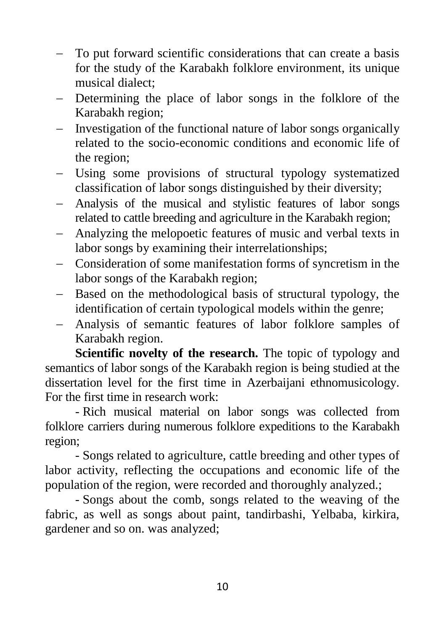- To put forward scientific considerations that can create a basis for the study of the Karabakh folklore environment, its unique musical dialect;
- Determining the place of labor songs in the folklore of the Karabakh region;
- Investigation of the functional nature of labor songs organically related to the socio-economic conditions and economic life of the region;
- Using some provisions of structural typology systematized classification of labor songs distinguished by their diversity;
- Analysis of the musical and stylistic features of labor songs related to cattle breeding and agriculture in the Karabakh region;
- Analyzing the melopoetic features of music and verbal texts in labor songs by examining their interrelationships;
- Consideration of some manifestation forms of syncretism in the labor songs of the Karabakh region;
- Based on the methodological basis of structural typology, the identification of certain typological models within the genre;
- Analysis of semantic features of labor folklore samples of Karabakh region.

**Scientific novelty of the research.** The topic of typology and semantics of labor songs of the Karabakh region is being studied at the dissertation level for the first time in Azerbaijani ethnomusicology. For the first time in research work:

- Rich musical material on labor songs was collected from folklore carriers during numerous folklore expeditions to the Karabakh region;

- Songs related to agriculture, cattle breeding and other types of labor activity, reflecting the occupations and economic life of the population of the region, were recorded and thoroughly analyzed.;

- Songs about the comb, songs related to the weaving of the fabric, as well as songs about paint, tandirbashi, Yelbaba, kirkira, gardener and so on. was analyzed;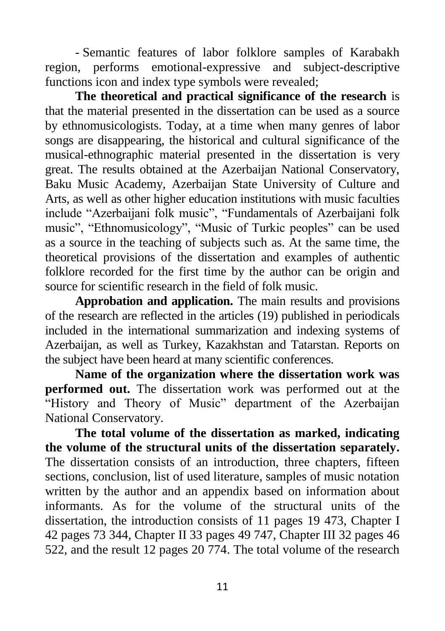- Semantic features of labor folklore samples of Karabakh region, performs emotional-expressive and subject-descriptive functions icon and index type symbols were revealed;

**The theoretical and practical significance of the research** is that the material presented in the dissertation can be used as a source by ethnomusicologists. Today, at a time when many genres of labor songs are disappearing, the historical and cultural significance of the musical-ethnographic material presented in the dissertation is very great. The results obtained at the Azerbaijan National Conservatory, Baku Music Academy, Azerbaijan State University of Culture and Arts, as well as other higher education institutions with music faculties include "Azerbaijani folk music", "Fundamentals of Azerbaijani folk music", "Ethnomusicology", "Music of Turkic peoples" can be used as a source in the teaching of subjects such as. At the same time, the theoretical provisions of the dissertation and examples of authentic folklore recorded for the first time by the author can be origin and source for scientific research in the field of folk music.

**Approbation and application.** The main results and provisions of the research are reflected in the articles (19) published in periodicals included in the international summarization and indexing systems of Azerbaijan, as well as Turkey, Kazakhstan and Tatarstan. Reports on the subject have been heard at many scientific conferences.

**Name of the organization where the dissertation work was performed out.** The dissertation work was performed out at the "History and Theory of Music" department of the Azerbaijan National Conservatory.

**The total volume of the dissertation as marked, indicating the volume of the structural units of the dissertation separately.**  The dissertation consists of an introduction, three chapters, fifteen sections, conclusion, list of used literature, samples of music notation written by the author and an appendix based on information about informants. As for the volume of the structural units of the dissertation, the introduction consists of 11 pages 19 473, Chapter I 42 pages 73 344, Chapter II 33 pages 49 747, Chapter III 32 pages 46 522, and the result 12 pages 20 774. The total volume of the research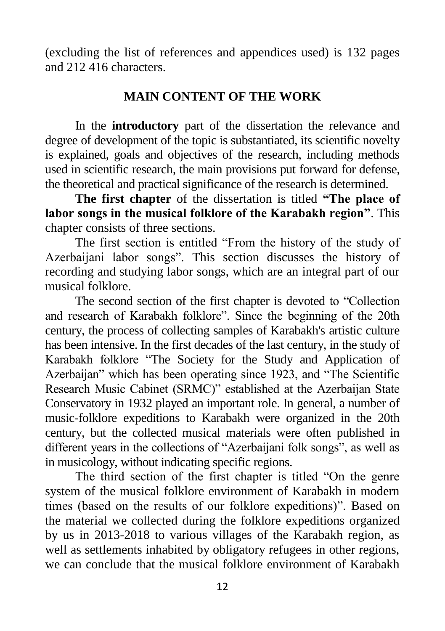(excluding the list of references and appendices used) is 132 pages and 212 416 characters.

### **MAIN CONTENT OF THE WORK**

In the **introductory** part of the dissertation the relevance and degree of development of the topic is substantiated, its scientific novelty is explained, goals and objectives of the research, including methods used in scientific research, the main provisions put forward for defense, the theoretical and practical significance of the research is determined.

**The first chapter** of the dissertation is titled **"The place of labor songs in the musical folklore of the Karabakh region"**. This chapter consists of three sections.

The first section is entitled "From the history of the study of Azerbaijani labor songs". This section discusses the history of recording and studying labor songs, which are an integral part of our musical folklore.

The second section of the first chapter is devoted to "Collection and research of Karabakh folklore". Since the beginning of the 20th century, the process of collecting samples of Karabakh's artistic culture has been intensive. In the first decades of the last century, in the study of Karabakh folklore "The Society for the Study and Application of Azerbaijan" which has been operating since 1923, and "The Scientific Research Music Cabinet (SRMC)" established at the Azerbaijan State Conservatory in 1932 played an important role. In general, a number of music-folklore expeditions to Karabakh were organized in the 20th century, but the collected musical materials were often published in different years in the collections of "Azerbaijani folk songs", as well as in musicology, without indicating specific regions.

The third section of the first chapter is titled "On the genre system of the musical folklore environment of Karabakh in modern times (based on the results of our folklore expeditions)". Based on the material we collected during the folklore expeditions organized by us in 2013-2018 to various villages of the Karabakh region, as well as settlements inhabited by obligatory refugees in other regions, we can conclude that the musical folklore environment of Karabakh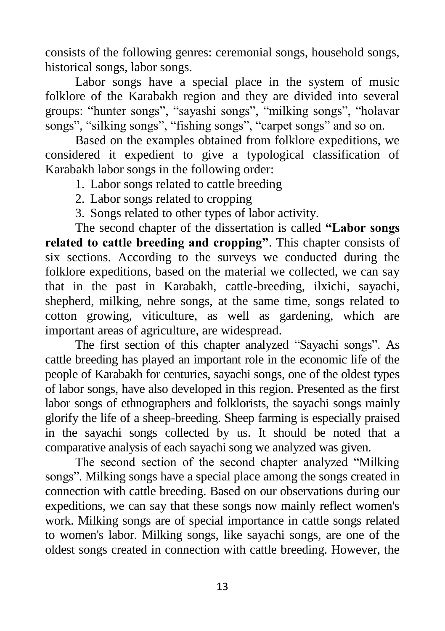consists of the following genres: ceremonial songs, household songs, historical songs, labor songs.

Labor songs have a special place in the system of music folklore of the Karabakh region and they are divided into several groups: "hunter songs", "sayashi songs", "milking songs", "holavar songs", "silking songs", "fishing songs", "carpet songs" and so on.

Based on the examples obtained from folklore expeditions, we considered it expedient to give a typological classification of Karabakh labor songs in the following order:

- 1. Labor songs related to cattle breeding
- 2. Labor songs related to cropping
- 3. Songs related to other types of labor activity.

The second chapter of the dissertation is called **"Labor songs related to cattle breeding and cropping"**. This chapter consists of six sections. According to the surveys we conducted during the folklore expeditions, based on the material we collected, we can say that in the past in Karabakh, cattle-breeding, ilxichi, sayachi, shepherd, milking, nehre songs, at the same time, songs related to cotton growing, viticulture, as well as gardening, which are important areas of agriculture, are widespread.

The first section of this chapter analyzed "Sayachi songs". As cattle breeding has played an important role in the economic life of the people of Karabakh for centuries, sayachi songs, one of the oldest types of labor songs, have also developed in this region. Presented as the first labor songs of ethnographers and folklorists, the sayachi songs mainly glorify the life of a sheep-breeding. Sheep farming is especially praised in the sayachi songs collected by us. It should be noted that a comparative analysis of each sayachi song we analyzed was given.

The second section of the second chapter analyzed "Milking songs". Milking songs have a special place among the songs created in connection with cattle breeding. Based on our observations during our expeditions, we can say that these songs now mainly reflect women's work. Milking songs are of special importance in cattle songs related to women's labor. Milking songs, like sayachi songs, are one of the oldest songs created in connection with cattle breeding. However, the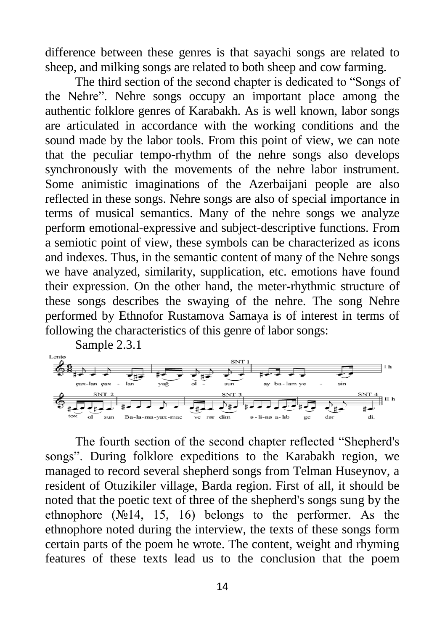difference between these genres is that sayachi songs are related to sheep, and milking songs are related to both sheep and cow farming.

The third section of the second chapter is dedicated to "Songs of the Nehre". Nehre songs occupy an important place among the authentic folklore genres of Karabakh. As is well known, labor songs are articulated in accordance with the working conditions and the sound made by the labor tools. From this point of view, we can note that the peculiar tempo-rhythm of the nehre songs also develops synchronously with the movements of the nehre labor instrument. Some animistic imaginations of the Azerbaijani people are also reflected in these songs. Nehre songs are also of special importance in terms of musical semantics. Many of the nehre songs we analyze perform emotional-expressive and subject-descriptive functions. From a semiotic point of view, these symbols can be characterized as icons and indexes. Thus, in the semantic content of many of the Nehre songs we have analyzed, similarity, supplication, etc. emotions have found their expression. On the other hand, the meter-rhythmic structure of these songs describes the swaying of the nehre. The song Nehre performed by Ethnofor Rustamova Samaya is of interest in terms of following the characteristics of this genre of labor songs:

Sample 2.3.1



The fourth section of the second chapter reflected "Shepherd's songs". During folklore expeditions to the Karabakh region, we managed to record several shepherd songs from Telman Huseynov, a resident of Otuzikiler village, Barda region. First of all, it should be noted that the poetic text of three of the shepherd's songs sung by the ethnophore (№14, 15, 16) belongs to the performer. As the ethnophore noted during the interview, the texts of these songs form certain parts of the poem he wrote. The content, weight and rhyming features of these texts lead us to the conclusion that the poem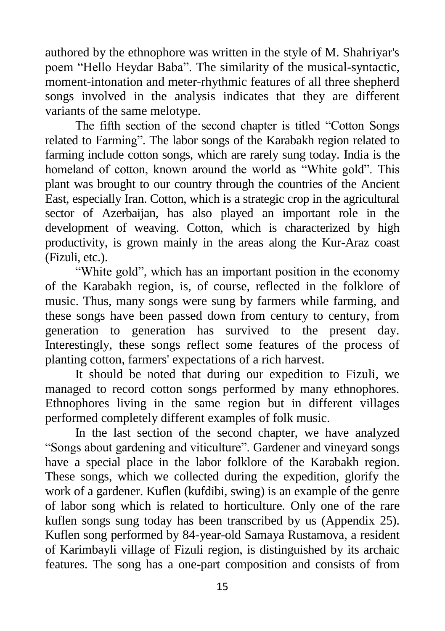authored by the ethnophore was written in the style of M. Shahriyar's poem "Hello Heydar Baba". The similarity of the musical-syntactic, moment-intonation and meter-rhythmic features of all three shepherd songs involved in the analysis indicates that they are different variants of the same melotype.

The fifth section of the second chapter is titled "Cotton Songs related to Farming". The labor songs of the Karabakh region related to farming include cotton songs, which are rarely sung today. India is the homeland of cotton, known around the world as "White gold". This plant was brought to our country through the countries of the Ancient East, especially Iran. Cotton, which is a strategic crop in the agricultural sector of Azerbaijan, has also played an important role in the development of weaving. Cotton, which is characterized by high productivity, is grown mainly in the areas along the Kur-Araz coast (Fizuli, etc.).

"White gold", which has an important position in the economy of the Karabakh region, is, of course, reflected in the folklore of music. Thus, many songs were sung by farmers while farming, and these songs have been passed down from century to century, from generation to generation has survived to the present day. Interestingly, these songs reflect some features of the process of planting cotton, farmers' expectations of a rich harvest.

It should be noted that during our expedition to Fizuli, we managed to record cotton songs performed by many ethnophores. Ethnophores living in the same region but in different villages performed completely different examples of folk music.

In the last section of the second chapter, we have analyzed "Songs about gardening and viticulture". Gardener and vineyard songs have a special place in the labor folklore of the Karabakh region. These songs, which we collected during the expedition, glorify the work of a gardener. Kuflen (kufdibi, swing) is an example of the genre of labor song which is related to horticulture. Only one of the rare kuflen songs sung today has been transcribed by us (Appendix 25). Kuflen song performed by 84-year-old Samaya Rustamova, a resident of Karimbayli village of Fizuli region, is distinguished by its archaic features. The song has a one-part composition and consists of from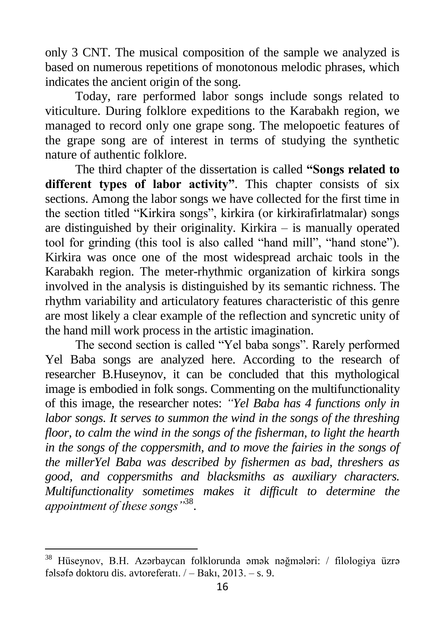only 3 CNT. The musical composition of the sample we analyzed is based on numerous repetitions of monotonous melodic phrases, which indicates the ancient origin of the song.

Today, rare performed labor songs include songs related to viticulture. During folklore expeditions to the Karabakh region, we managed to record only one grape song. The melopoetic features of the grape song are of interest in terms of studying the synthetic nature of authentic folklore.

The third chapter of the dissertation is called **"Songs related to different types of labor activity"**. This chapter consists of six sections. Among the labor songs we have collected for the first time in the section titled "Kirkira songs", kirkira (or kirkirafirlatmalar) songs are distinguished by their originality. Kirkira – is manually operated tool for grinding (this tool is also called "hand mill", "hand stone"). Kirkira was once one of the most widespread archaic tools in the Karabakh region. The meter-rhythmic organization of kirkira songs involved in the analysis is distinguished by its semantic richness. The rhythm variability and articulatory features characteristic of this genre are most likely a clear example of the reflection and syncretic unity of the hand mill work process in the artistic imagination.

The second section is called "Yel baba songs". Rarely performed Yel Baba songs are analyzed here. According to the research of researcher B.Huseynov, it can be concluded that this mythological image is embodied in folk songs. Commenting on the multifunctionality of this image, the researcher notes: *"Yel Baba has 4 functions only in labor songs. It serves to summon the wind in the songs of the threshing floor, to calm the wind in the songs of the fisherman, to light the hearth in the songs of the coppersmith, and to move the fairies in the songs of the millerYel Baba was described by fishermen as bad, threshers as good, and coppersmiths and blacksmiths as auxiliary characters. Multifunctionality sometimes makes it difficult to determine the appointment of these songs"*<sup>38</sup> .

<sup>38</sup> Hüseynov, B.H. Azərbaycan folklorunda əmək nəğmələri: / filologiya üzrə fəlsəfə doktoru dis. avtoreferatı. / – Bakı, 2013. – s. 9.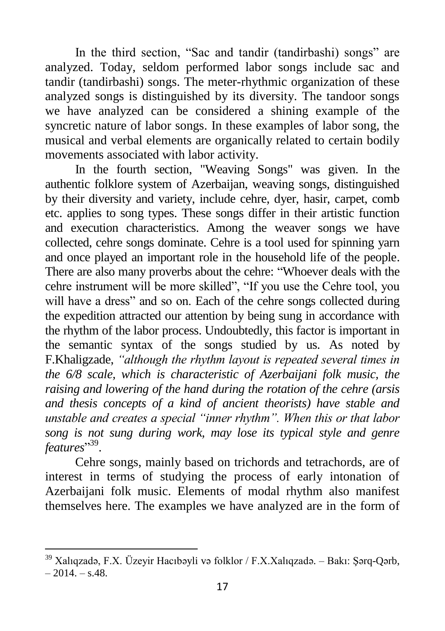In the third section, "Sac and tandir (tandirbashi) songs" are analyzed. Today, seldom performed labor songs include sac and tandir (tandirbashi) songs. The meter-rhythmic organization of these analyzed songs is distinguished by its diversity. The tandoor songs we have analyzed can be considered a shining example of the syncretic nature of labor songs. In these examples of labor song, the musical and verbal elements are organically related to certain bodily movements associated with labor activity.

In the fourth section, "Weaving Songs" was given. In the authentic folklore system of Azerbaijan, weaving songs, distinguished by their diversity and variety, include cehre, dyer, hasir, carpet, comb etc. applies to song types. These songs differ in their artistic function and execution characteristics. Among the weaver songs we have collected, cehre songs dominate. Cehre is a tool used for spinning yarn and once played an important role in the household life of the people. There are also many proverbs about the cehre: "Whoever deals with the cehre instrument will be more skilled", "If you use the Cehre tool, you will have a dress" and so on. Each of the cehre songs collected during the expedition attracted our attention by being sung in accordance with the rhythm of the labor process. Undoubtedly, this factor is important in the semantic syntax of the songs studied by us. As noted by F.Khaligzade, *"although the rhythm layout is repeated several times in the 6/8 scale, which is characteristic of Azerbaijani folk music, the raising and lowering of the hand during the rotation of the cehre (arsis and thesis concepts of a kind of ancient theorists) have stable and unstable and creates a special "inner rhythm". When this or that labor song is not sung during work, may lose its typical style and genre*  features"<sup>39</sup>.

Cehre songs, mainly based on trichords and tetrachords, are of interest in terms of studying the process of early intonation of Azerbaijani folk music. Elements of modal rhythm also manifest themselves here. The examples we have analyzed are in the form of

 $\overline{a}$ <sup>39</sup> Xalıqzadə, F.X. Üzeyir Hacıbəyli və folklor / F.X.Xalıqzadə. – Bakı: Şərq-Qərb,  $-2014. - s.48.$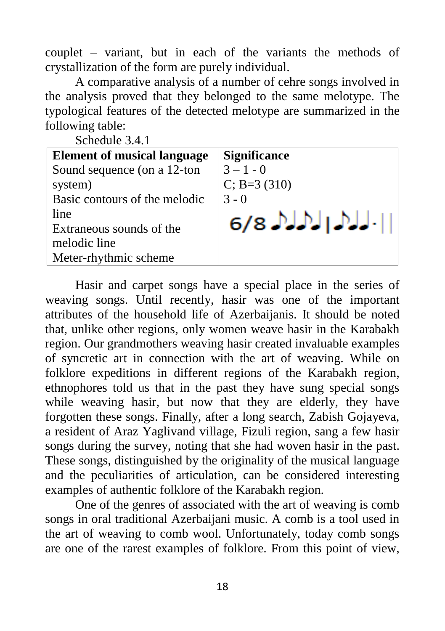couplet – variant, but in each of the variants the methods of crystallization of the form are purely individual.

A comparative analysis of a number of cehre songs involved in the analysis proved that they belonged to the same melotype. The typological features of the detected melotype are summarized in the following table:

Schedule 3.4.1

| <b>Element of musical language</b> | <b>Significance</b> |
|------------------------------------|---------------------|
| Sound sequence (on a 12-ton        | $3 - 1 - 0$         |
| system)                            | $C; B=3(310)$       |
| Basic contours of the melodic      | $3 - 0$             |
| line                               |                     |
| Extraneous sounds of the           | $6/8$ $M$ $N$ $ M$  |
| melodic line                       |                     |
| Meter-rhythmic scheme              |                     |

Hasir and carpet songs have a special place in the series of weaving songs. Until recently, hasir was one of the important attributes of the household life of Azerbaijanis. It should be noted that, unlike other regions, only women weave hasir in the Karabakh region. Our grandmothers weaving hasir created invaluable examples of syncretic art in connection with the art of weaving. While on folklore expeditions in different regions of the Karabakh region, ethnophores told us that in the past they have sung special songs while weaving hasir, but now that they are elderly, they have forgotten these songs. Finally, after a long search, Zabish Gojayeva, a resident of Araz Yaglivand village, Fizuli region, sang a few hasir songs during the survey, noting that she had woven hasir in the past. These songs, distinguished by the originality of the musical language and the peculiarities of articulation, can be considered interesting examples of authentic folklore of the Karabakh region.

One of the genres of associated with the art of weaving is comb songs in oral traditional Azerbaijani music. A comb is a tool used in the art of weaving to comb wool. Unfortunately, today comb songs are one of the rarest examples of folklore. From this point of view,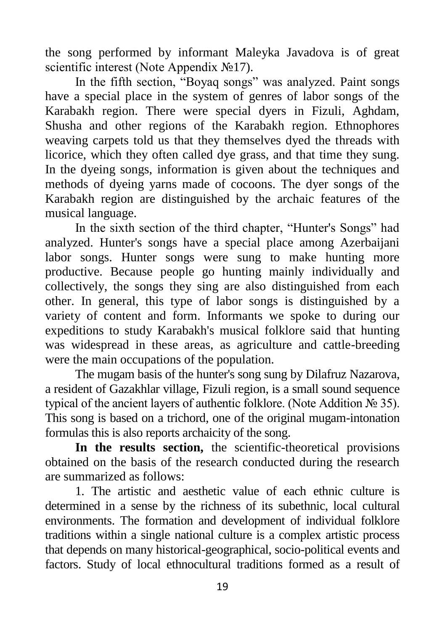the song performed by informant Maleyka Javadova is of great scientific interest (Note Appendix №17).

In the fifth section, "Boyaq songs" was analyzed. Paint songs have a special place in the system of genres of labor songs of the Karabakh region. There were special dyers in Fizuli, Aghdam, Shusha and other regions of the Karabakh region. Ethnophores weaving carpets told us that they themselves dyed the threads with licorice, which they often called dye grass, and that time they sung. In the dyeing songs, information is given about the techniques and methods of dyeing yarns made of cocoons. The dyer songs of the Karabakh region are distinguished by the archaic features of the musical language.

In the sixth section of the third chapter, "Hunter's Songs" had analyzed. Hunter's songs have a special place among Azerbaijani labor songs. Hunter songs were sung to make hunting more productive. Because people go hunting mainly individually and collectively, the songs they sing are also distinguished from each other. In general, this type of labor songs is distinguished by a variety of content and form. Informants we spoke to during our expeditions to study Karabakh's musical folklore said that hunting was widespread in these areas, as agriculture and cattle-breeding were the main occupations of the population.

The mugam basis of the hunter's song sung by Dilafruz Nazarova, a resident of Gazakhlar village, Fizuli region, is a small sound sequence typical of the ancient layers of authentic folklore. (Note Addition № 35). This song is based on a trichord, one of the original mugam-intonation formulas this is also reports archaicity of the song.

**In the results section,** the scientific-theoretical provisions obtained on the basis of the research conducted during the research are summarized as follows:

1. The artistic and aesthetic value of each ethnic culture is determined in a sense by the richness of its subethnic, local cultural environments. The formation and development of individual folklore traditions within a single national culture is a complex artistic process that depends on many historical-geographical, socio-political events and factors. Study of local ethnocultural traditions formed as a result of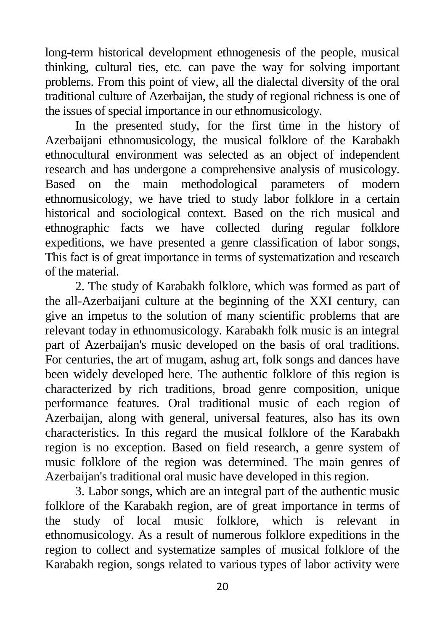long-term historical development ethnogenesis of the people, musical thinking, cultural ties, etc. can pave the way for solving important problems. From this point of view, all the dialectal diversity of the oral traditional culture of Azerbaijan, the study of regional richness is one of the issues of special importance in our ethnomusicology.

In the presented study, for the first time in the history of Azerbaijani ethnomusicology, the musical folklore of the Karabakh ethnocultural environment was selected as an object of independent research and has undergone a comprehensive analysis of musicology. Based on the main methodological parameters of modern ethnomusicology, we have tried to study labor folklore in a certain historical and sociological context. Based on the rich musical and ethnographic facts we have collected during regular folklore expeditions, we have presented a genre classification of labor songs, This fact is of great importance in terms of systematization and research of the material.

2. The study of Karabakh folklore, which was formed as part of the all-Azerbaijani culture at the beginning of the XXI century, can give an impetus to the solution of many scientific problems that are relevant today in ethnomusicology. Karabakh folk music is an integral part of Azerbaijan's music developed on the basis of oral traditions. For centuries, the art of mugam, ashug art, folk songs and dances have been widely developed here. The authentic folklore of this region is characterized by rich traditions, broad genre composition, unique performance features. Oral traditional music of each region of Azerbaijan, along with general, universal features, also has its own characteristics. In this regard the musical folklore of the Karabakh region is no exception. Based on field research, a genre system of music folklore of the region was determined. The main genres of Azerbaijan's traditional oral music have developed in this region.

3. Labor songs, which are an integral part of the authentic music folklore of the Karabakh region, are of great importance in terms of the study of local music folklore, which is relevant in ethnomusicology. As a result of numerous folklore expeditions in the region to collect and systematize samples of musical folklore of the Karabakh region, songs related to various types of labor activity were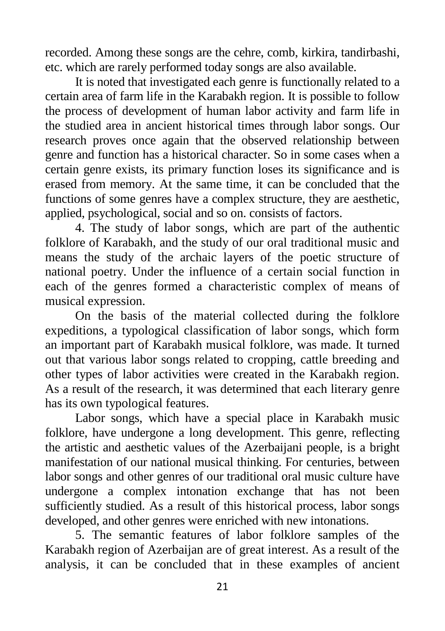recorded. Among these songs are the cehre, comb, kirkira, tandirbashi, etc. which are rarely performed today songs are also available.

It is noted that investigated each genre is functionally related to a certain area of farm life in the Karabakh region. It is possible to follow the process of development of human labor activity and farm life in the studied area in ancient historical times through labor songs. Our research proves once again that the observed relationship between genre and function has a historical character. So in some cases when a certain genre exists, its primary function loses its significance and is erased from memory. At the same time, it can be concluded that the functions of some genres have a complex structure, they are aesthetic, applied, psychological, social and so on. consists of factors.

4. The study of labor songs, which are part of the authentic folklore of Karabakh, and the study of our oral traditional music and means the study of the archaic layers of the poetic structure of national poetry. Under the influence of a certain social function in each of the genres formed a characteristic complex of means of musical expression.

On the basis of the material collected during the folklore expeditions, a typological classification of labor songs, which form an important part of Karabakh musical folklore, was made. It turned out that various labor songs related to cropping, cattle breeding and other types of labor activities were created in the Karabakh region. As a result of the research, it was determined that each literary genre has its own typological features.

Labor songs, which have a special place in Karabakh music folklore, have undergone a long development. This genre, reflecting the artistic and aesthetic values of the Azerbaijani people, is a bright manifestation of our national musical thinking. For centuries, between labor songs and other genres of our traditional oral music culture have undergone a complex intonation exchange that has not been sufficiently studied. As a result of this historical process, labor songs developed, and other genres were enriched with new intonations.

5. The semantic features of labor folklore samples of the Karabakh region of Azerbaijan are of great interest. As a result of the analysis, it can be concluded that in these examples of ancient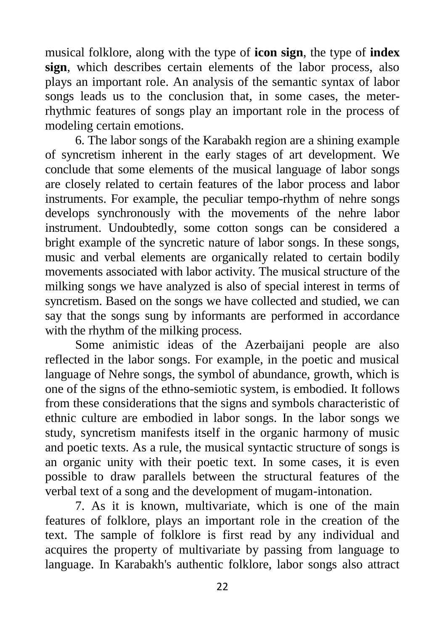musical folklore, along with the type of **icon sign**, the type of **index sign**, which describes certain elements of the labor process, also plays an important role. An analysis of the semantic syntax of labor songs leads us to the conclusion that, in some cases, the meterrhythmic features of songs play an important role in the process of modeling certain emotions.

6. The labor songs of the Karabakh region are a shining example of syncretism inherent in the early stages of art development. We conclude that some elements of the musical language of labor songs are closely related to certain features of the labor process and labor instruments. For example, the peculiar tempo-rhythm of nehre songs develops synchronously with the movements of the nehre labor instrument. Undoubtedly, some cotton songs can be considered a bright example of the syncretic nature of labor songs. In these songs, music and verbal elements are organically related to certain bodily movements associated with labor activity. The musical structure of the milking songs we have analyzed is also of special interest in terms of syncretism. Based on the songs we have collected and studied, we can say that the songs sung by informants are performed in accordance with the rhythm of the milking process.

Some animistic ideas of the Azerbaijani people are also reflected in the labor songs. For example, in the poetic and musical language of Nehre songs, the symbol of abundance, growth, which is one of the signs of the ethno-semiotic system, is embodied. It follows from these considerations that the signs and symbols characteristic of ethnic culture are embodied in labor songs. In the labor songs we study, syncretism manifests itself in the organic harmony of music and poetic texts. As a rule, the musical syntactic structure of songs is an organic unity with their poetic text. In some cases, it is even possible to draw parallels between the structural features of the verbal text of a song and the development of mugam-intonation.

7. As it is known, multivariate, which is one of the main features of folklore, plays an important role in the creation of the text. The sample of folklore is first read by any individual and acquires the property of multivariate by passing from language to language. In Karabakh's authentic folklore, labor songs also attract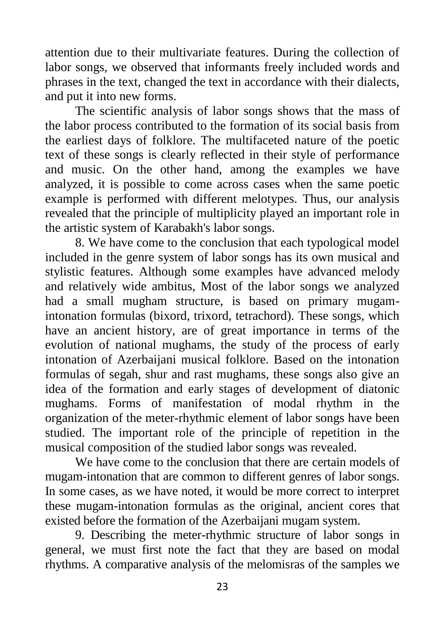attention due to their multivariate features. During the collection of labor songs, we observed that informants freely included words and phrases in the text, changed the text in accordance with their dialects, and put it into new forms.

The scientific analysis of labor songs shows that the mass of the labor process contributed to the formation of its social basis from the earliest days of folklore. The multifaceted nature of the poetic text of these songs is clearly reflected in their style of performance and music. On the other hand, among the examples we have analyzed, it is possible to come across cases when the same poetic example is performed with different melotypes. Thus, our analysis revealed that the principle of multiplicity played an important role in the artistic system of Karabakh's labor songs.

8. We have come to the conclusion that each typological model included in the genre system of labor songs has its own musical and stylistic features. Although some examples have advanced melody and relatively wide ambitus, Most of the labor songs we analyzed had a small mugham structure, is based on primary mugamintonation formulas (bixord, trixord, tetrachord). These songs, which have an ancient history, are of great importance in terms of the evolution of national mughams, the study of the process of early intonation of Azerbaijani musical folklore. Based on the intonation formulas of segah, shur and rast mughams, these songs also give an idea of the formation and early stages of development of diatonic mughams. Forms of manifestation of modal rhythm in the organization of the meter-rhythmic element of labor songs have been studied. The important role of the principle of repetition in the musical composition of the studied labor songs was revealed.

We have come to the conclusion that there are certain models of mugam-intonation that are common to different genres of labor songs. In some cases, as we have noted, it would be more correct to interpret these mugam-intonation formulas as the original, ancient cores that existed before the formation of the Azerbaijani mugam system.

9. Describing the meter-rhythmic structure of labor songs in general, we must first note the fact that they are based on modal rhythms. A comparative analysis of the melomisras of the samples we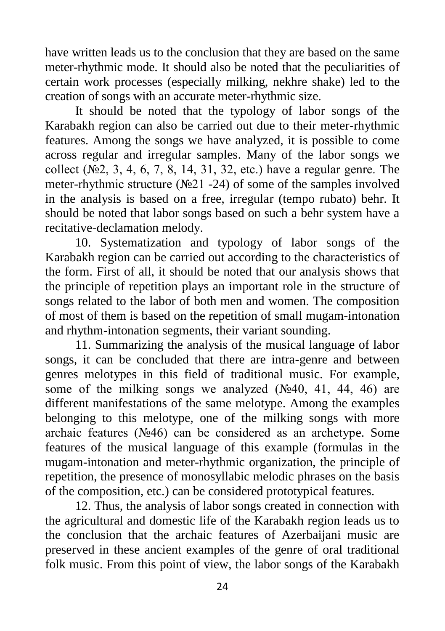have written leads us to the conclusion that they are based on the same meter-rhythmic mode. It should also be noted that the peculiarities of certain work processes (especially milking, nekhre shake) led to the creation of songs with an accurate meter-rhythmic size.

It should be noted that the typology of labor songs of the Karabakh region can also be carried out due to their meter-rhythmic features. Among the songs we have analyzed, it is possible to come across regular and irregular samples. Many of the labor songs we collect  $(N_2, 3, 4, 6, 7, 8, 14, 31, 32, etc.)$  have a regular genre. The meter-rhythmic structure (№21 -24) of some of the samples involved in the analysis is based on a free, irregular (tempo rubato) behr. It should be noted that labor songs based on such a behr system have a recitative-declamation melody.

10. Systematization and typology of labor songs of the Karabakh region can be carried out according to the characteristics of the form. First of all, it should be noted that our analysis shows that the principle of repetition plays an important role in the structure of songs related to the labor of both men and women. The composition of most of them is based on the repetition of small mugam-intonation and rhythm-intonation segments, their variant sounding.

11. Summarizing the analysis of the musical language of labor songs, it can be concluded that there are intra-genre and between genres melotypes in this field of traditional music. For example, some of the milking songs we analyzed  $(N_240, 41, 44, 46)$  are different manifestations of the same melotype. Among the examples belonging to this melotype, one of the milking songs with more archaic features (№46) can be considered as an archetype. Some features of the musical language of this example (formulas in the mugam-intonation and meter-rhythmic organization, the principle of repetition, the presence of monosyllabic melodic phrases on the basis of the composition, etc.) can be considered prototypical features.

12. Thus, the analysis of labor songs created in connection with the agricultural and domestic life of the Karabakh region leads us to the conclusion that the archaic features of Azerbaijani music are preserved in these ancient examples of the genre of oral traditional folk music. From this point of view, the labor songs of the Karabakh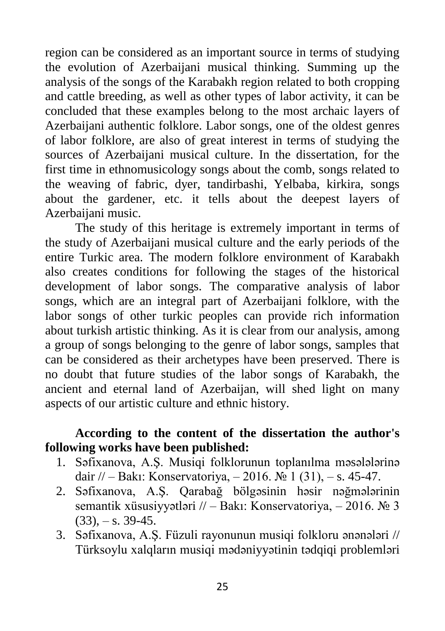region can be considered as an important source in terms of studying the evolution of Azerbaijani musical thinking. Summing up the analysis of the songs of the Karabakh region related to both cropping and cattle breeding, as well as other types of labor activity, it can be concluded that these examples belong to the most archaic layers of Azerbaijani authentic folklore. Labor songs, one of the oldest genres of labor folklore, are also of great interest in terms of studying the sources of Azerbaijani musical culture. In the dissertation, for the first time in ethnomusicology songs about the comb, songs related to the weaving of fabric, dyer, tandirbashi, Yelbaba, kirkira, songs about the gardener, etc. it tells about the deepest layers of Azerbaijani music.

The study of this heritage is extremely important in terms of the study of Azerbaijani musical culture and the early periods of the entire Turkic area. The modern folklore environment of Karabakh also creates conditions for following the stages of the historical development of labor songs. The comparative analysis of labor songs, which are an integral part of Azerbaijani folklore, with the labor songs of other turkic peoples can provide rich information about turkish artistic thinking. As it is clear from our analysis, among a group of songs belonging to the genre of labor songs, samples that can be considered as their archetypes have been preserved. There is no doubt that future studies of the labor songs of Karabakh, the ancient and eternal land of Azerbaijan, will shed light on many aspects of our artistic culture and ethnic history.

#### **According to the content of the dissertation the author's following works have been published:**

- 1. Səfixanova, A.Ş. Musiqi folklorunun toplanılma məsələlərinə dair // – Bakı: Konservatoriya, – 2016.  $\mathbb{N}$  1 (31), – s. 45-47.
- 2. Səfixanova, A.Ş. Qarabağ bölgəsinin həsir nəğmələrinin semantik xüsusiyyətləri // – Bakı: Konservatoriya, – 2016. № 3  $(33)$ ,  $-$  s. 39-45.
- 3. Səfixanova, A.Ş. Füzuli rayonunun musiqi folkloru ənənələri // Türksoylu xalqların musiqi mədəniyyətinin tədqiqi problemləri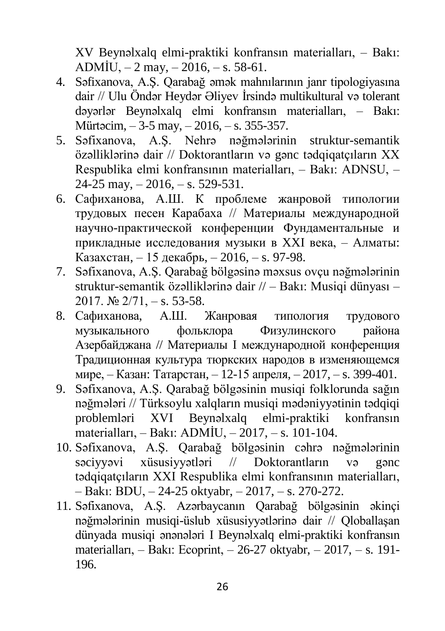XV Beynəlxalq elmi-praktiki konfransın materialları, – Bakı: ADMİU,  $-2$  may,  $-2016$ ,  $- s$ . 58-61.

- 4. Səfixanova, A.Ş. Qarabağ əmək mahnılarının janr tipologiyasına dair // Ulu Öndər Heydər Əliyev İrsində multikultural və tolerant dəyərlər Beynəlxalq elmi konfransın materialları, – Bakı: Mürtəcim, – 3-5 may, – 2016, – s. 355-357.
- 5. Səfixanova, A.Ş. Nehrə nəğmələrinin struktur-semantik özəlliklərinə dair // Doktorantların və gənc tədqiqatçıların XX Respublika elmi konfransının materialları, – Bakı: ADNSU, –  $24-25$  may,  $-2016$ ,  $-$  s. 529-531.
- 6. Сафиханова, А.Ш. К проблеме жанровой типологии трудовых песен Карабаха // Материалы международной научно-практической конференции Фундаментальные и прикладные исследования музыки в XXI века, – Алматы: Казахстан, – 15 декабрь, – 2016, – s. 97-98.
- 7. Səfixanova, A.Ş. Qarabağ bölgəsinə məxsus ovçu nəğmələrinin struktur-semantik özəlliklərinə dair // – Bakı: Musiqi dünyası – 2017.  $\mathbb{N}^{\circ}$  2/71, - s. 53-58.
- 8. Сафиханова, А.Ш. Жанровая типология трудового музыкального фольклора Физулинского района Азербайджана // Материалы I международной конференция Традиционная культура тюркских народов в изменяющемся мире, – Казан: Татарстан, – 12-15 апреля, – 2017, – s. 399-401.
- 9. Səfixanova, A.Ş. Qarabağ bölgəsinin musiqi folklorunda sağın nəğmələri // Türksoylu xalqların musiqi mədəniyyətinin tədqiqi problemləri XVI Beynəlxalq elmi-praktiki konfransın materialları, – Bakı: ADMİU, – 2017, – s. 101-104.
- 10. Səfixanova, A.Ş. Qarabağ bölgəsinin cəhrə nəğmələrinin səciyyəvi xüsusiyyətləri // Doktorantların və gənc tədqiqatçıların XXI Respublika elmi konfransının materialları, – Bakı: BDU, – 24-25 oktyabr, – 2017, – s. 270-272.
- 11. Səfixanova, A.Ş. Azərbaycanın Qarabağ bölgəsinin əkinçi nəğmələrinin musiqi-üslub xüsusiyyətlərinə dair // Qloballaşan dünyada musiqi ənənələri I Beynəlxalq elmi-praktiki konfransın materialları, – Bakı: Ecoprint, – 26-27 oktyabr, – 2017, – s. 191- 196.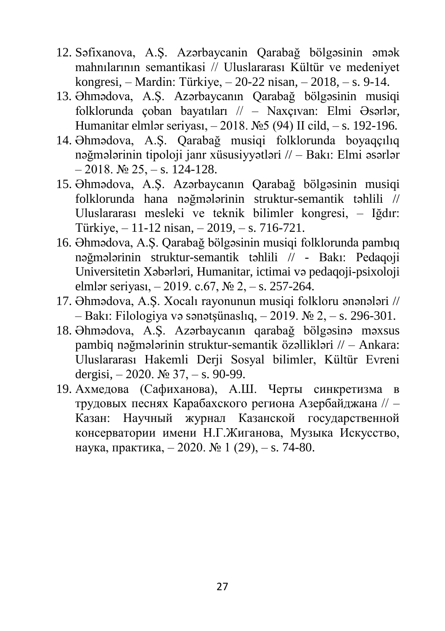- 12. Səfixanova, A.Ş. Azərbaycanin Qarabağ bölgəsinin əmək mahnılarının semantikasi // Uluslararası Kültür ve medeniyet kongresi, – Mardin: Türkiye, – 20-22 nisan, – 2018, – s. 9-14.
- 13. Əhmədova, A.Ş. Azərbaycanın Qarabağ bölgəsinin musiqi folklorunda çoban bayatıları // – Naxçıvan: Elmi Əsərlər, Humanitar elmlər seriyası, – 2018. №5 (94) II cild, – s. 192-196.
- 14. Əhmədova, A.Ş. Qarabağ musiqi folklorunda boyaqçılıq nəğmələrinin tipoloji janr xüsusiyyətləri // – Bakı: Elmi əsərlər  $-2018$ . № 25,  $-$  s. 124-128.
- 15. Əhmədova, A.Ş. Azərbaycanın Qarabağ bölgəsinin musiqi folklorunda hana nəğmələrinin struktur-semantik təhlili // Uluslararası mesleki ve teknik bilimler kongresi, – Iğdır: Türkiye, – 11-12 nisan, – 2019, – s. 716-721.
- 16. Əhmədova, A.Ş. Qarabağ bölgəsinin musiqi folklorunda pambıq nəğmələrinin struktur-semantik təhlili // - Bakı: Pedaqoji Universitetin Xəbərləri, Humanitar, ictimai və pedaqoji-psixoloji elmlər seriyası,  $-2019$ . c.67,  $\mathbb{N}^{\circ}$  2,  $-$  s. 257-264.
- 17. Əhmədova, A.Ş. Xocalı rayonunun musiqi folkloru ənənələri // – Bakı: Filologiya və sənətşünaslıq, – 2019. № 2, – s. 296-301.
- 18. Əhmədova, A.Ş. Azərbaycanın qarabağ bölgəsinə məxsus pambiq nəğmələrinin struktur-semantik özəllikləri // – Ankara: Uluslararası Hakemli Derji Sosyal bilimler, Kültür Evreni dergisi, – 2020. № 37, – s. 90-99.
- 19. Ахмедова (Сафиханова), А.Ш. Черты синкретизма в трудовых песнях Карабахского региона Азербайджана // – Казан: Научный журнал Казанской государственной консерватории имени Н.Г.Жиганова, Музыка Искусство, наука, практика, – 2020. № 1 (29), – s. 74-80.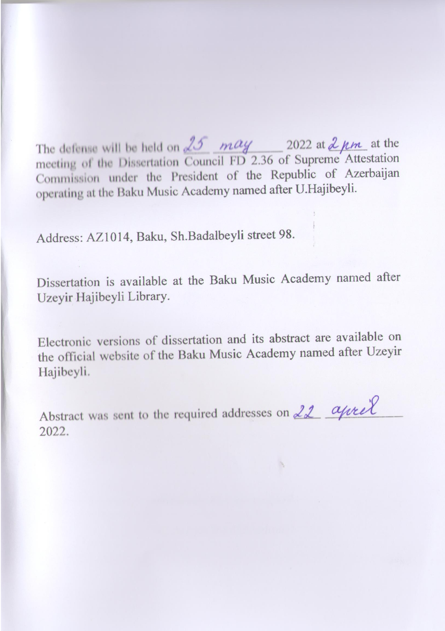The defense will be held on  $\frac{25}{\text{M}}$   $\frac{m\alpha y}{m}$  2022 at  $\frac{2}{\mu m}$  at the meeting of the Dissertation Council FD 2.36 of Supreme Attestation Commission under the President of the Republic of Azerbaijan ominission under the President of the President of the Republic of Azerbaijan and after II Haijhevli operating at the Baku Music Academy named after U.H.

Address: AZ1014, Baku, Sh.Badalbeyli street 98.

Dissertation is available at the Baku Music Academy named after Uzeyir Hajibeyli Library.

Electronic versions of dissertation and its abstract are available on the official website of the Baku Music Academy named after Uzeyir Hajibeyli.

Abstract was sent to the required addresses on  $22$   $a\mu\nu\ell$ 2022.

 $\mathcal{H}$